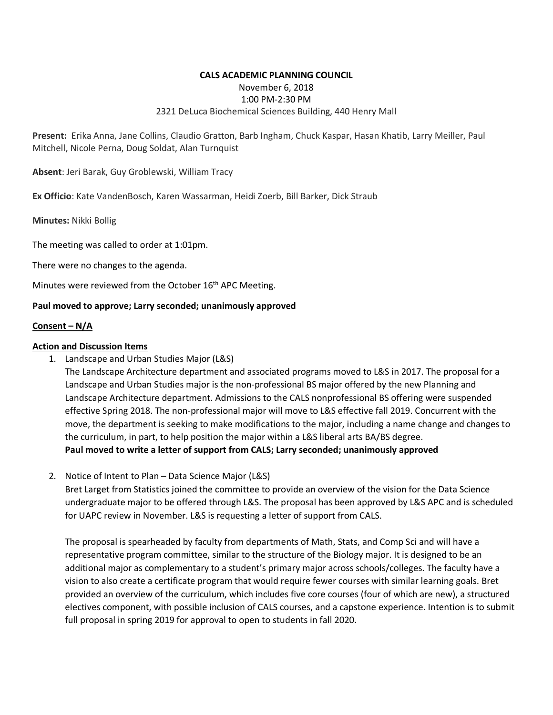#### **CALS ACADEMIC PLANNING COUNCIL**

## November 6, 2018

# 1:00 PM-2:30 PM

#### 2321 DeLuca Biochemical Sciences Building, 440 Henry Mall

**Present:** Erika Anna, Jane Collins, Claudio Gratton, Barb Ingham, Chuck Kaspar, Hasan Khatib, Larry Meiller, Paul Mitchell, Nicole Perna, Doug Soldat, Alan Turnquist

**Absent**: Jeri Barak, Guy Groblewski, William Tracy

**Ex Officio**: Kate VandenBosch, Karen Wassarman, Heidi Zoerb, Bill Barker, Dick Straub

**Minutes:** Nikki Bollig

The meeting was called to order at 1:01pm.

There were no changes to the agenda.

Minutes were reviewed from the October 16<sup>th</sup> APC Meeting.

### **Paul moved to approve; Larry seconded; unanimously approved**

#### **Consent – N/A**

#### **Action and Discussion Items**

1. Landscape and Urban Studies Major (L&S)

The Landscape Architecture department and associated programs moved to L&S in 2017. The proposal for a Landscape and Urban Studies major is the non-professional BS major offered by the new Planning and Landscape Architecture department. Admissions to the CALS nonprofessional BS offering were suspended effective Spring 2018. The non-professional major will move to L&S effective fall 2019. Concurrent with the move, the department is seeking to make modifications to the major, including a name change and changes to the curriculum, in part, to help position the major within a L&S liberal arts BA/BS degree. **Paul moved to write a letter of support from CALS; Larry seconded; unanimously approved**

2. Notice of Intent to Plan – Data Science Major (L&S)

Bret Larget from Statistics joined the committee to provide an overview of the vision for the Data Science undergraduate major to be offered through L&S. The proposal has been approved by L&S APC and is scheduled for UAPC review in November. L&S is requesting a letter of support from CALS.

The proposal is spearheaded by faculty from departments of Math, Stats, and Comp Sci and will have a representative program committee, similar to the structure of the Biology major. It is designed to be an additional major as complementary to a student's primary major across schools/colleges. The faculty have a vision to also create a certificate program that would require fewer courses with similar learning goals. Bret provided an overview of the curriculum, which includes five core courses (four of which are new), a structured electives component, with possible inclusion of CALS courses, and a capstone experience. Intention is to submit full proposal in spring 2019 for approval to open to students in fall 2020.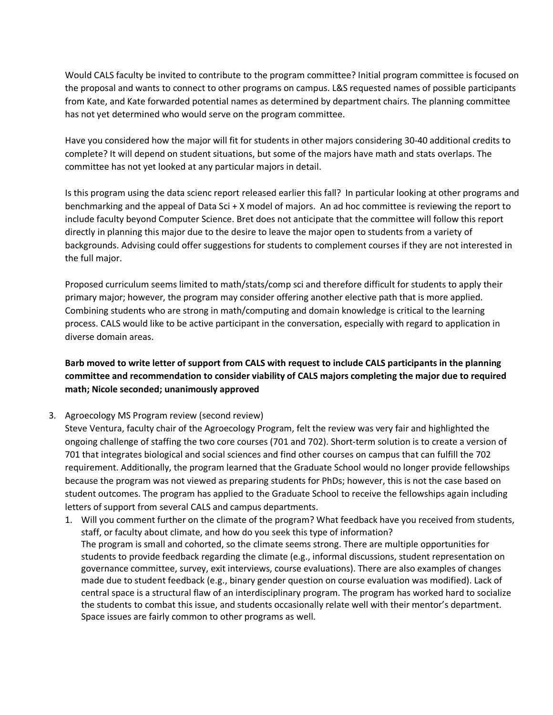Would CALS faculty be invited to contribute to the program committee? Initial program committee is focused on the proposal and wants to connect to other programs on campus. L&S requested names of possible participants from Kate, and Kate forwarded potential names as determined by department chairs. The planning committee has not yet determined who would serve on the program committee.

Have you considered how the major will fit for students in other majors considering 30-40 additional credits to complete? It will depend on student situations, but some of the majors have math and stats overlaps. The committee has not yet looked at any particular majors in detail.

Is this program using the data scienc report released earlier this fall? In particular looking at other programs and benchmarking and the appeal of Data Sci + X model of majors. An ad hoc committee is reviewing the report to include faculty beyond Computer Science. Bret does not anticipate that the committee will follow this report directly in planning this major due to the desire to leave the major open to students from a variety of backgrounds. Advising could offer suggestions for students to complement courses if they are not interested in the full major.

Proposed curriculum seems limited to math/stats/comp sci and therefore difficult for students to apply their primary major; however, the program may consider offering another elective path that is more applied. Combining students who are strong in math/computing and domain knowledge is critical to the learning process. CALS would like to be active participant in the conversation, especially with regard to application in diverse domain areas.

**Barb moved to write letter of support from CALS with request to include CALS participants in the planning committee and recommendation to consider viability of CALS majors completing the major due to required math; Nicole seconded; unanimously approved**

3. Agroecology MS Program review (second review)

Steve Ventura, faculty chair of the Agroecology Program, felt the review was very fair and highlighted the ongoing challenge of staffing the two core courses (701 and 702). Short-term solution is to create a version of 701 that integrates biological and social sciences and find other courses on campus that can fulfill the 702 requirement. Additionally, the program learned that the Graduate School would no longer provide fellowships because the program was not viewed as preparing students for PhDs; however, this is not the case based on student outcomes. The program has applied to the Graduate School to receive the fellowships again including letters of support from several CALS and campus departments.

1. Will you comment further on the climate of the program? What feedback have you received from students, staff, or faculty about climate, and how do you seek this type of information? The program is small and cohorted, so the climate seems strong. There are multiple opportunities for students to provide feedback regarding the climate (e.g., informal discussions, student representation on governance committee, survey, exit interviews, course evaluations). There are also examples of changes made due to student feedback (e.g., binary gender question on course evaluation was modified). Lack of central space is a structural flaw of an interdisciplinary program. The program has worked hard to socialize the students to combat this issue, and students occasionally relate well with their mentor's department. Space issues are fairly common to other programs as well.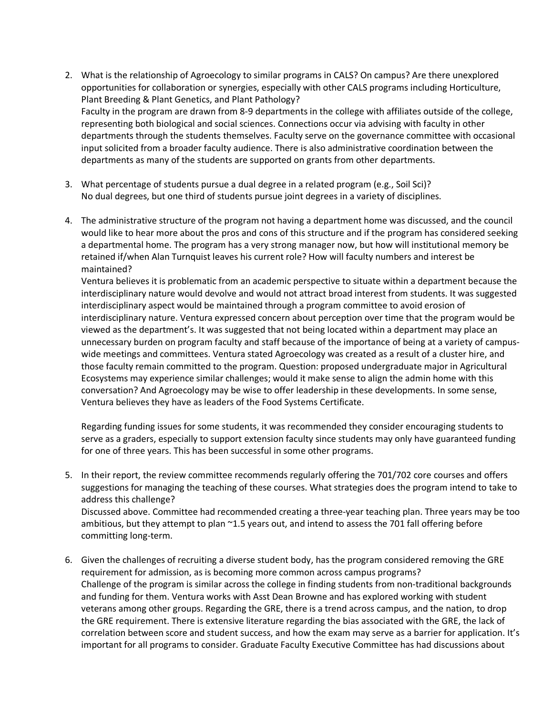- 2. What is the relationship of Agroecology to similar programs in CALS? On campus? Are there unexplored opportunities for collaboration or synergies, especially with other CALS programs including Horticulture, Plant Breeding & Plant Genetics, and Plant Pathology? Faculty in the program are drawn from 8-9 departments in the college with affiliates outside of the college, representing both biological and social sciences. Connections occur via advising with faculty in other departments through the students themselves. Faculty serve on the governance committee with occasional input solicited from a broader faculty audience. There is also administrative coordination between the departments as many of the students are supported on grants from other departments.
- 3. What percentage of students pursue a dual degree in a related program (e.g., Soil Sci)? No dual degrees, but one third of students pursue joint degrees in a variety of disciplines.
- 4. The administrative structure of the program not having a department home was discussed, and the council would like to hear more about the pros and cons of this structure and if the program has considered seeking a departmental home. The program has a very strong manager now, but how will institutional memory be retained if/when Alan Turnquist leaves his current role? How will faculty numbers and interest be maintained?

Ventura believes it is problematic from an academic perspective to situate within a department because the interdisciplinary nature would devolve and would not attract broad interest from students. It was suggested interdisciplinary aspect would be maintained through a program committee to avoid erosion of interdisciplinary nature. Ventura expressed concern about perception over time that the program would be viewed as the department's. It was suggested that not being located within a department may place an unnecessary burden on program faculty and staff because of the importance of being at a variety of campuswide meetings and committees. Ventura stated Agroecology was created as a result of a cluster hire, and those faculty remain committed to the program. Question: proposed undergraduate major in Agricultural Ecosystems may experience similar challenges; would it make sense to align the admin home with this conversation? And Agroecology may be wise to offer leadership in these developments. In some sense, Ventura believes they have as leaders of the Food Systems Certificate.

Regarding funding issues for some students, it was recommended they consider encouraging students to serve as a graders, especially to support extension faculty since students may only have guaranteed funding for one of three years. This has been successful in some other programs.

- 5. In their report, the review committee recommends regularly offering the 701/702 core courses and offers suggestions for managing the teaching of these courses. What strategies does the program intend to take to address this challenge? Discussed above. Committee had recommended creating a three-year teaching plan. Three years may be too ambitious, but they attempt to plan ~1.5 years out, and intend to assess the 701 fall offering before committing long-term.
- 6. Given the challenges of recruiting a diverse student body, has the program considered removing the GRE requirement for admission, as is becoming more common across campus programs? Challenge of the program is similar across the college in finding students from non-traditional backgrounds and funding for them. Ventura works with Asst Dean Browne and has explored working with student veterans among other groups. Regarding the GRE, there is a trend across campus, and the nation, to drop the GRE requirement. There is extensive literature regarding the bias associated with the GRE, the lack of correlation between score and student success, and how the exam may serve as a barrier for application. It's important for all programs to consider. Graduate Faculty Executive Committee has had discussions about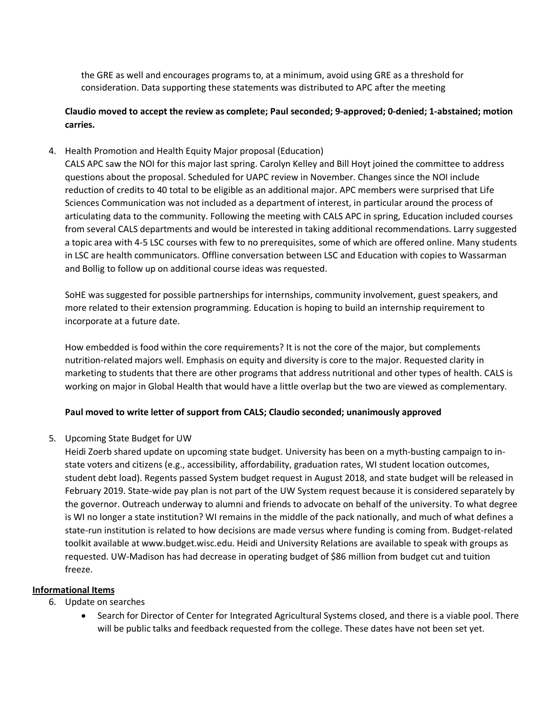the GRE as well and encourages programs to, at a minimum, avoid using GRE as a threshold for consideration. Data supporting these statements was distributed to APC after the meeting

## **Claudio moved to accept the review as complete; Paul seconded; 9-approved; 0-denied; 1-abstained; motion carries.**

4. Health Promotion and Health Equity Major proposal (Education)

CALS APC saw the NOI for this major last spring. Carolyn Kelley and Bill Hoyt joined the committee to address questions about the proposal. Scheduled for UAPC review in November. Changes since the NOI include reduction of credits to 40 total to be eligible as an additional major. APC members were surprised that Life Sciences Communication was not included as a department of interest, in particular around the process of articulating data to the community. Following the meeting with CALS APC in spring, Education included courses from several CALS departments and would be interested in taking additional recommendations. Larry suggested a topic area with 4-5 LSC courses with few to no prerequisites, some of which are offered online. Many students in LSC are health communicators. Offline conversation between LSC and Education with copies to Wassarman and Bollig to follow up on additional course ideas was requested.

SoHE was suggested for possible partnerships for internships, community involvement, guest speakers, and more related to their extension programming. Education is hoping to build an internship requirement to incorporate at a future date.

How embedded is food within the core requirements? It is not the core of the major, but complements nutrition-related majors well. Emphasis on equity and diversity is core to the major. Requested clarity in marketing to students that there are other programs that address nutritional and other types of health. CALS is working on major in Global Health that would have a little overlap but the two are viewed as complementary.

## **Paul moved to write letter of support from CALS; Claudio seconded; unanimously approved**

5. Upcoming State Budget for UW

Heidi Zoerb shared update on upcoming state budget. University has been on a myth-busting campaign to instate voters and citizens (e.g., accessibility, affordability, graduation rates, WI student location outcomes, student debt load). Regents passed System budget request in August 2018, and state budget will be released in February 2019. State-wide pay plan is not part of the UW System request because it is considered separately by the governor. Outreach underway to alumni and friends to advocate on behalf of the university. To what degree is WI no longer a state institution? WI remains in the middle of the pack nationally, and much of what defines a state-run institution is related to how decisions are made versus where funding is coming from. Budget-related toolkit available at www.budget.wisc.edu. Heidi and University Relations are available to speak with groups as requested. UW-Madison has had decrease in operating budget of \$86 million from budget cut and tuition freeze.

#### **Informational Items**

- 6. Update on searches
	- Search for Director of Center for Integrated Agricultural Systems closed, and there is a viable pool. There will be public talks and feedback requested from the college. These dates have not been set yet.